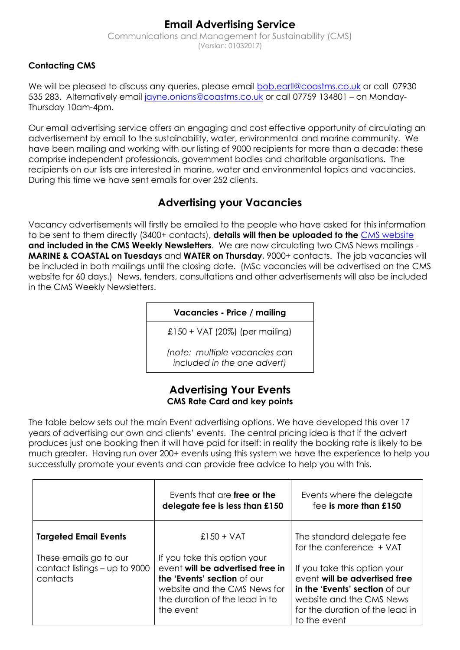# **Email Advertising Service**

Communications and Management for Sustainability (CMS) (Version: 01032017)

# **Contacting CMS**

We will be pleased to discuss any queries, please email **bob.earll@coastms.co.uk** or call 07930 535 283. Alternatively email [jayne.onions@coastms.co.uk](mailto:jayne.onions@coastms.co.uk) or call 07759 134801 - on Monday-Thursday 10am-4pm.

Our email advertising service offers an engaging and cost effective opportunity of circulating an advertisement by email to the sustainability, water, environmental and marine community. We have been mailing and working with our listing of 9000 recipients for more than a decade; these comprise independent professionals, government bodies and charitable organisations. The recipients on our lists are interested in marine, water and environmental topics and vacancies. During this time we have sent emails for over 252 clients.

# **Advertising your Vacancies**

Vacancy advertisements will firstly be emailed to the people who have asked for this information to be sent to them directly (3400+ contacts), **details will then be uploaded to the** [CMS website](http://cmscoms.com/) **and included in the CMS Weekly Newsletters**. We are now circulating two CMS News mailings - **MARINE & COASTAL on Tuesdays** and **WATER on Thursday**, 9000+ contacts. The job vacancies will be included in both mailings until the closing date. (MSc vacancies will be advertised on the CMS website for 60 days.) News, tenders, consultations and other advertisements will also be included in the CMS Weekly Newsletters.

**Vacancies - Price / mailing**

£150 + VAT (20%) (per mailing)

*(note: multiple vacancies can included in the one advert)*

#### **Advertising Your Events CMS Rate Card and key points**

The table below sets out the main Event advertising options. We have developed this over 17 years of advertising our own and clients' events. The central pricing idea is that if the advert produces just one booking then it will have paid for itself: in reality the booking rate is likely to be much greater. Having run over 200+ events using this system we have the experience to help you successfully promote your events and can provide free advice to help you with this.

|                                                                       | Events that are free or the<br>delegate fee is less than £150                                                                                                                  | Events where the delegate<br>fee is more than £150                                                                                                                             |
|-----------------------------------------------------------------------|--------------------------------------------------------------------------------------------------------------------------------------------------------------------------------|--------------------------------------------------------------------------------------------------------------------------------------------------------------------------------|
| <b>Targeted Email Events</b>                                          | $£150 + VAT$                                                                                                                                                                   | The standard delegate fee<br>for the conference + VAT                                                                                                                          |
| These emails go to our<br>contact listings $-$ up to 9000<br>contacts | If you take this option your<br>event will be advertised free in<br>the 'Events' section of our<br>website and the CMS News for<br>the duration of the lead in to<br>the event | If you take this option your<br>event will be advertised free<br>in the 'Events' section of our<br>website and the CMS News<br>for the duration of the lead in<br>to the event |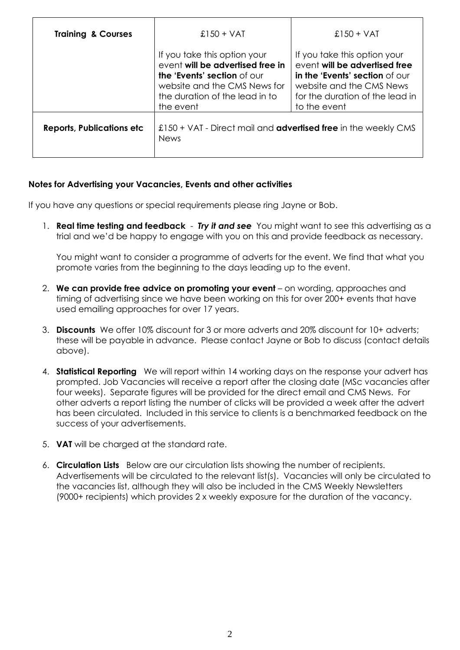| <b>Training &amp; Courses</b>    | $£150 + VAT$                                                                                                                                                                   | £150 + VAT                                                                                                                                                                     |
|----------------------------------|--------------------------------------------------------------------------------------------------------------------------------------------------------------------------------|--------------------------------------------------------------------------------------------------------------------------------------------------------------------------------|
|                                  | If you take this option your<br>event will be advertised free in<br>the 'Events' section of our<br>website and the CMS News for<br>the duration of the lead in to<br>the event | If you take this option your<br>event will be advertised free<br>in the 'Events' section of our<br>website and the CMS News<br>for the duration of the lead in<br>to the event |
| <b>Reports, Publications etc</b> | £150 + VAT - Direct mail and <b>advertised free</b> in the weekly CMS<br><b>News</b>                                                                                           |                                                                                                                                                                                |

#### **Notes for Advertising your Vacancies, Events and other activities**

If you have any questions or special requirements please ring Jayne or Bob.

1. **Real time testing and feedback** - *Try it and see* You might want to see this advertising as a trial and we'd be happy to engage with you on this and provide feedback as necessary.

You might want to consider a programme of adverts for the event. We find that what you promote varies from the beginning to the days leading up to the event.

- 2. **We can provide free advice on promoting your event** on wording, approaches and timing of advertising since we have been working on this for over 200+ events that have used emailing approaches for over 17 years.
- 3. **Discounts** We offer 10% discount for 3 or more adverts and 20% discount for 10+ adverts; these will be payable in advance. Please contact Jayne or Bob to discuss (contact details above).
- 4. **Statistical Reporting** We will report within 14 working days on the response your advert has prompted. Job Vacancies will receive a report after the closing date (MSc vacancies after four weeks). Separate figures will be provided for the direct email and CMS News. For other adverts a report listing the number of clicks will be provided a week after the advert has been circulated. Included in this service to clients is a benchmarked feedback on the success of your advertisements.
- 5. **VAT** will be charged at the standard rate.
- 6. **Circulation Lists** Below are our circulation lists showing the number of recipients. Advertisements will be circulated to the relevant list(s). Vacancies will only be circulated to the vacancies list, although they will also be included in the CMS Weekly Newsletters (9000+ recipients) which provides 2 x weekly exposure for the duration of the vacancy.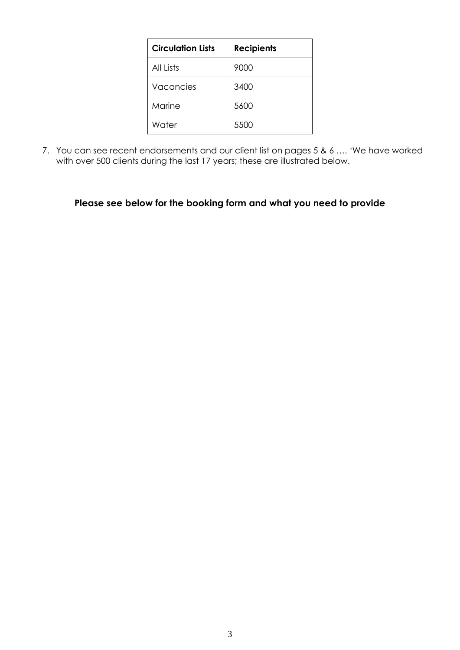| <b>Circulation Lists</b> | <b>Recipients</b> |
|--------------------------|-------------------|
| All Lists                | 9000              |
| Vacancies                | 3400              |
| Marine                   | 5600              |
| Water                    | 5500              |

7. You can see recent endorsements and our client list on pages 5 & 6 .... 'We have worked with over 500 clients during the last 17 years; these are illustrated below.

# **Please see below for the booking form and what you need to provide**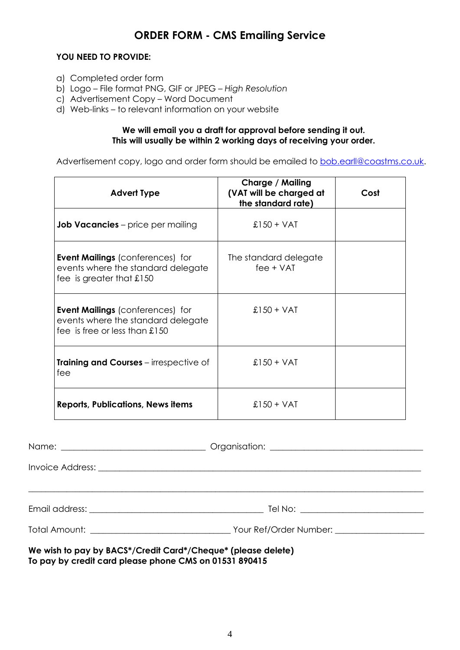# **ORDER FORM - CMS Emailing Service**

#### **YOU NEED TO PROVIDE:**

- a) Completed order form
- b) Logo File format PNG, GIF or JPEG *High Resolution*
- c) Advertisement Copy Word Document
- d) Web-links to relevant information on your website

#### **We will email you a draft for approval before sending it out. This will usually be within 2 working days of receiving your order.**

Advertisement copy, logo and order form should be emailed to **bob.earl@coastms.co.uk.** 

| <b>Advert Type</b>                                                                                                 | Charge / Mailing<br>(VAT will be charged at<br>the standard rate) | Cost |
|--------------------------------------------------------------------------------------------------------------------|-------------------------------------------------------------------|------|
| <b>Job Vacancies</b> – price per mailing                                                                           | $£150 + VAT$                                                      |      |
| <b>Event Mailings (conferences) for</b><br>events where the standard delegate<br>fee is greater that $\pounds$ 150 | The standard delegate<br>$fee + VAT$                              |      |
| <b>Event Mailings (conferences) for</b><br>events where the standard delegate<br>fee is free or less than $£150$   | $£150 + VAT$                                                      |      |
| <b>Training and Courses</b> – irrespective of<br>fee                                                               | $£150 + VAT$                                                      |      |
| <b>Reports, Publications, News items</b>                                                                           | $£150 + VAT$                                                      |      |

| <u> 1990 - Jan Barat, margaret eta bat zuen bat zuen bat zuen bat zuen bat zuen bat zuen bat zuen bat zuen zuen </u>      |  |
|---------------------------------------------------------------------------------------------------------------------------|--|
|                                                                                                                           |  |
| We wish to pay by BACS*/Credit Card*/Cheque* (please delete)<br>To neur by areally eard please phone CAIS on 01521 000415 |  |

**To pay by credit card please phone CMS on 01531 890415**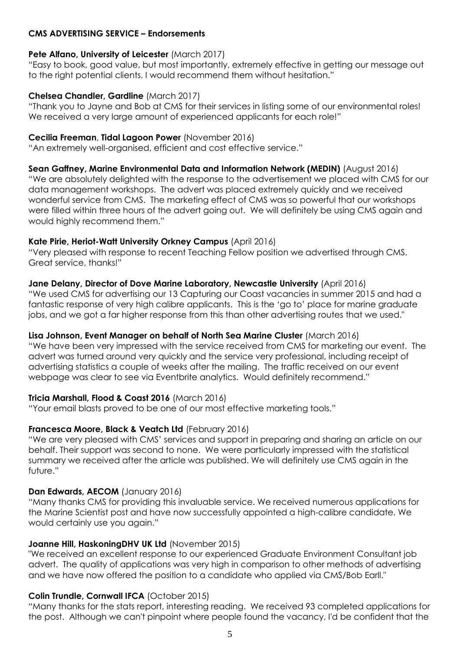#### **CMS ADVERTISING SERVICE – Endorsements**

# **Pete Alfano, University of Leicester** (March 2017)

"Easy to book, good value, but most importantly, extremely effective in getting our message out to the right potential clients. I would recommend them without hesitation."

### **Chelsea Chandler, Gardline** (March 2017)

"Thank you to Jayne and Bob at CMS for their services in listing some of our environmental roles! We received a very large amount of experienced applicants for each role!"

### **Cecilia Freeman**, **Tidal Lagoon Power** (November 2016)

"An extremely well-organised, efficient and cost effective service."

**Sean Gaffney, Marine Environmental Data and Information Network (MEDIN)** (August 2016) "We are absolutely delighted with the response to the advertisement we placed with CMS for our data management workshops. The advert was placed extremely quickly and we received wonderful service from CMS. The marketing effect of CMS was so powerful that our workshops were filled within three hours of the advert going out. We will definitely be using CMS again and would highly recommend them."

# **Kate Pirie, Heriot-Watt University Orkney Campus** (April 2016)

"Very pleased with response to recent Teaching Fellow position we advertised through CMS. Great service, thanks!"

#### **Jane Delany, Director of Dove Marine Laboratory, Newcastle University** (April 2016)

"We used CMS for advertising our 13 Capturing our Coast vacancies in summer 2015 and had a fantastic response of very high calibre applicants. This is the 'go to' place for marine graduate jobs, and we got a far higher response from this than other advertising routes that we used."

# **Lisa Johnson, Event Manager on behalf of North Sea Marine Cluster** (March 2016)

"We have been very impressed with the service received from CMS for marketing our event. The advert was turned around very quickly and the service very professional, including receipt of advertising statistics a couple of weeks after the mailing. The traffic received on our event webpage was clear to see via Eventbrite analytics. Would definitely recommend."

# **Tricia Marshall, Flood & Coast 2016** (March 2016)

"Your email blasts proved to be one of our most effective marketing tools."

# **Francesca Moore, Black & Veatch Ltd** (February 2016)

"We are very pleased with CMS' services and support in preparing and sharing an article on our behalf. Their support was second to none. We were particularly impressed with the statistical summary we received after the article was published. We will definitely use CMS again in the future."

# **Dan Edwards, AECOM** (January 2016)

"Many thanks CMS for providing this invaluable service. We received numerous applications for the Marine Scientist post and have now successfully appointed a high-calibre candidate. We would certainly use you again."

# **Joanne Hill, HaskoningDHV UK Ltd** (November 2015)

"We received an excellent response to our experienced Graduate Environment Consultant job advert. The quality of applications was very high in comparison to other methods of advertising and we have now offered the position to a candidate who applied via CMS/Bob Earll."

# **Colin Trundle, Cornwall IFCA** (October 2015)

"Many thanks for the stats report, interesting reading. We received 93 completed applications for the post. Although we can't pinpoint where people found the vacancy, I'd be confident that the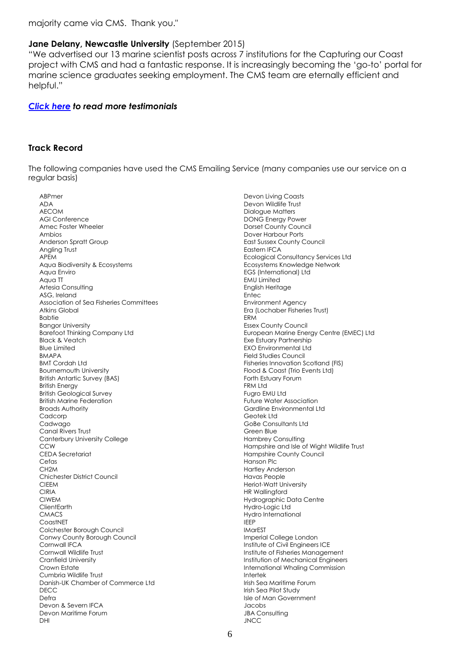majority came via CMS. Thank you."

#### **Jane Delany, Newcastle University** (September 2015)

"We advertised our 13 marine scientist posts across 7 institutions for the Capturing our Coast project with CMS and had a fantastic response. It is increasingly becoming the 'go-to' portal for marine science graduates seeking employment. The CMS team are eternally efficient and helpful."

#### *[Click here](http://cmscoms.com/?page_id=4086) to read more testimonials*

#### **Track Record**

The following companies have used the CMS Emailing Service (many companies use our service on a regular basis)

ABPmer ADA AECOM AGI Conference Amec Foster Wheeler Ambios Anderson Spratt Group Angling Trust APEM Aqua Biodiversity & Ecosystems Aqua Enviro Aqua TT Artesia Consulting ASG, Ireland Association of Sea Fisheries Committees Atkins Global Babtie Bangor University Barefoot Thinking Company Ltd Black & Veatch Blue Limited BMAPA BMT Cordah Ltd Bournemouth University British Antartic Survey (BAS) British Energy British Geological Survey British Marine Federation Broads Authority Cadcorp Cadwago Canal Rivers Trust Canterbury University College CCW CEDA Secretariat **Cefas** CH2M Chichester District Council CIEEM CIRIA CIWEM **ClientEarth CMACS CoastNET** Colchester Borough Council Conwy County Borough Council Cornwall IFCA Cornwall Wildlife Trust Cranfield University Crown Estate Cumbria Wildlife Trust Danish-UK Chamber of Commerce Ltd DECC Defra Devon & Severn IFCA Devon Maritime Forum DHI

Devon Living Coasts Devon Wildlife Trust Dialogue Matters DONG Energy Power Dorset County Council Dover Harbour Ports East Sussex County Council Eastern IFCA Ecological Consultancy Services Ltd Ecosystems Knowledge Network EGS (International) Ltd EMU Limited English Heritage Entec Environment Agency Era (Lochaber Fisheries Trust) ERM Essex County Council European Marine Energy Centre (EMEC) Ltd Exe Estuary Partnership EXO Environmental Ltd Field Studies Council Fisheries Innovation Scotland (FIS) Flood & Coast (Trio Events Ltd) Forth Estuary Forum FRM Ltd Fugro EMU Ltd Future Water Association Gardline Environmental Ltd Geotek Ltd GoBe Consultants Ltd Green Blue Hambrey Consulting Hampshire and Isle of Wight Wildlife Trust Hampshire County Council Hanson Plc Hartley Anderson Havas People Heriot-Watt University HR Wallingford Hydrographic Data Centre Hydro-Logic Ltd Hydro International IEEP **IMarEST** Imperial College London Institute of Civil Engineers ICE Institute of Fisheries Management Institution of Mechanical Engineers International Whaling Commission Intertek Irish Sea Maritime Forum Irish Sea Pilot Study Isle of Man Government Jacobs **JBA Consulting** JNCC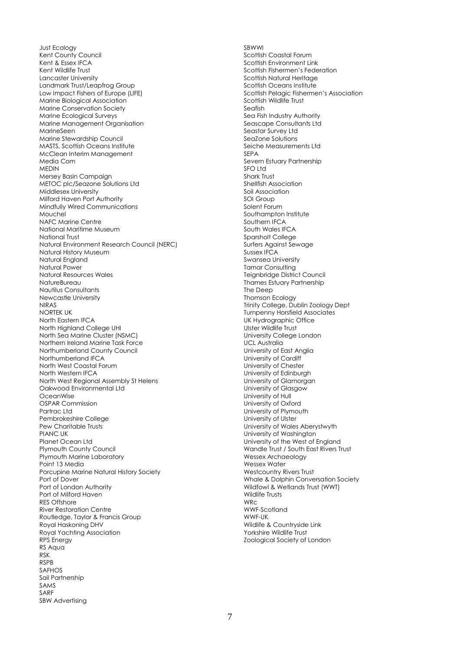Just Ecology Kent County Council Kent & Essex IFCA Kent Wildlife Trust Lancaster University Landmark Trust/Leapfrog Group Low Impact Fishers of Europe (LIFE) Marine Biological Association Marine Conservation Society Marine Ecological Surveys Marine Management Organisation MarineSeen Marine Stewardship Council MASTS, Scottish Oceans Institute McClean Interim Management Media Com MEDIN Mersey Basin Campaign METOC plc/Seazone Solutions Ltd Middlesex University Milford Haven Port Authority Mindfully Wired Communications Mouchel NAFC Marine Centre National Maritime Museum National Trust Natural Environment Research Council (NERC) Natural History Museum Natural England Natural Power Natural Resources Wales **NatureBureau** Nautilus Consultants Newcastle University NIRAS NORTEK UK North Eastern IFCA North Highland College UHI North Sea Marine Cluster (NSMC) Northern Ireland Marine Task Force Northumberland County Council Northumberland IFCA North West Coastal Forum North Western IFCA North West Regional Assembly St Helens Oakwood Environmental Ltd OceanWise OSPAR Commission Partrac Ltd Pembrokeshire College Pew Charitable Trusts PIANC UK Planet Ocean Ltd Plymouth County Council Plymouth Marine Laboratory Point 13 Media Porcupine Marine Natural History Society Port of Dover Port of London Authority Port of Milford Haven RES Offshore River Restoration Centre Routledge, Taylor & Francis Group Royal Haskoning DHV Royal Yachting Association RPS Energy RS Aqua RSK RSPB SAFHOS Sail Partnership SAMS SARF SBW Advertising

**SRWWI** Scottish Coastal Forum Scottish Environment Link Scottish Fishermen's Federation Scottish Natural Heritage Scottish Oceans Institute Scottish Pelagic Fishermen's Association Scottish Wildlife Trust Seafish Sea Fish Industry Authority Seascape Consultants Ltd Seastar Survey Ltd SeaZone Solutions Seiche Measurements Ltd SEPA Severn Estuary Partnership SFO Ltd Shark Trust Shellfish Association Soil Association SOI Group Solent Forum Southampton Institute Southern IFCA South Wales IFCA Sparsholt College Surfers Against Sewage Sussex IFCA Swansea University Tamar Consulting Teignbridge District Council Thames Estuary Partnership The Deep Thomson Ecology Trinity College, Dublin Zoology Dept Turnpenny Horsfield Associates UK Hydrographic Office Ulster Wildlife Trust University College London UCL Australia University of East Anglia University of Cardiff University of Chester University of Edinburgh University of Glamorgan University of Glasgow University of Hull University of Oxford University of Plymouth University of Ulster University of Wales Aberystwyth University of Washington University of the West of England Wandle Trust / South East Rivers Trust Wessex Archaeology Wessex Water Westcountry Rivers Trust Whale & Dolphin Conversation Society Wildfowl & Wetlands Trust (WWT) Wildlife Trusts WRc WWF-Scotland WWF-UK Wildlife & Countryside Link Yorkshire Wildlife Trust Zoological Society of London